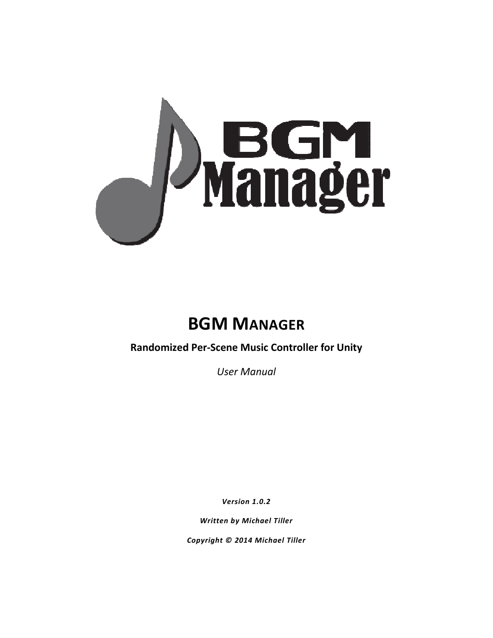

# **BGM MANAGER**

**Randomized Per Per-Scene Music Controller for Unity**

*User Manual* 

*Version 1.0.2* 

*Written by Michael Tiller*

*Copyright © 2014 Michael Tiller*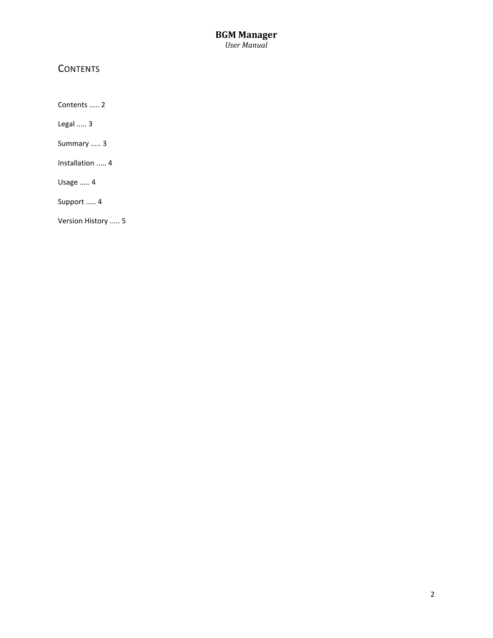#### **BGM Manager**  *User Manual*

## **CONTENTS**

Contents ..... 2

Legal ..... 3

Summary ..... 3

Installation ..... 4

Usage ..... 4

Support ..... 4

Version History ..... 5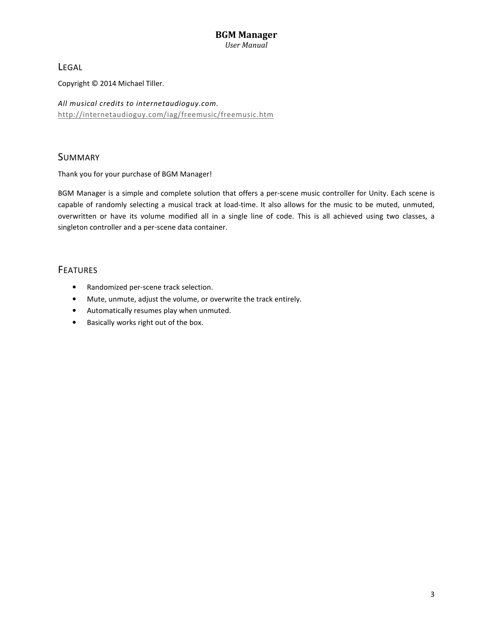# **BGM Manager**

*User Manual* 

LEGAL

Copyright © 2014 Michael Tiller.

*All musical credits to internetaudioguy.com.*  http://internetaudioguy.com/iag/freemusic/freemusic.htm

#### SUMMARY

Thank you for your purchase of BGM Manager!

BGM Manager is a simple and complete solution that offers a per-scene music controller for Unity. Each scene is capable of randomly selecting a musical track at load-time. It also allows for the music to be muted, unmuted, overwritten or have its volume modified all in a single line of code. This is all achieved using two classes, a singleton controller and a per-scene data container.

#### **FEATURES**

- Randomized per-scene track selection.
- Mute, unmute, adjust the volume, or overwrite the track entirely.
- Automatically resumes play when unmuted.
- Basically works right out of the box.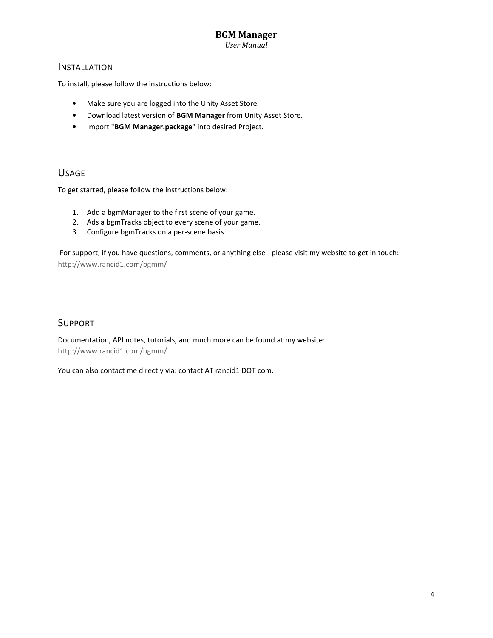#### **BGM Manager**

*User Manual* 

#### INSTALLATION

To install, please follow the instructions below:

- Make sure you are logged into the Unity Asset Store.
- Download latest version of **BGM Manager** from Unity Asset Store.
- Import "**BGM Manager.package**" into desired Project.

#### USAGE

To get started, please follow the instructions below:

- 1. Add a bgmManager to the first scene of your game.
- 2. Ads a bgmTracks object to every scene of your game.
- 3. Configure bgmTracks on a per-scene basis.

 For support, if you have questions, comments, or anything else - please visit my website to get in touch: http://www.rancid1.com/bgmm/

#### SUPPORT

Documentation, API notes, tutorials, and much more can be found at my website: http://www.rancid1.com/bgmm/

You can also contact me directly via: contact AT rancid1 DOT com.